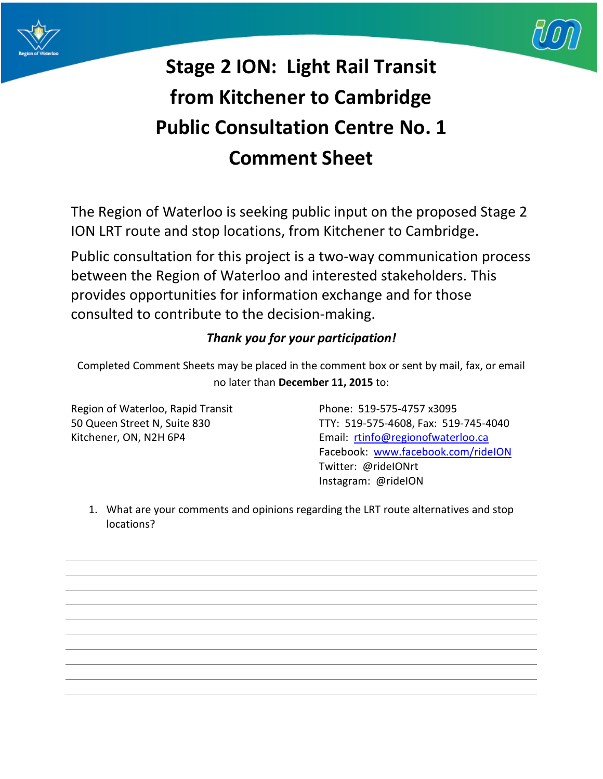



## **Stage 2 ION: Light Rail Transit from Kitchener to Cambridge Public Consultation Centre No. 1 Comment Sheet**

The Region of Waterloo is seeking public input on the proposed Stage 2 ION LRT route and stop locations, from Kitchener to Cambridge.

Public consultation for this project is a two-way communication process between the Region of Waterloo and interested stakeholders. This provides opportunities for information exchange and for those consulted to contribute to the decision-making.

## *Thank you for your participation!*

Completed Comment Sheets may be placed in the comment box or sent by mail, fax, or email no later than **December 11, 2015** to:

Region of Waterloo, Rapid Transit Phone: 519-575-4757 x3095

50 Queen Street N, Suite 830 TTY: 519-575-4608, Fax: 519-745-4040 Kitchener, ON, N2H 6P4 **Email:** [rtinfo@regionofwaterloo.ca](mailto:rtinfo@regionofwaterloo.ca) Facebook: [www.facebook.com/rideION](http://www.facebook.com/rideION) Twitter: @rideIONrt Instagram: @rideION

1. What are your comments and opinions regarding the LRT route alternatives and stop locations?